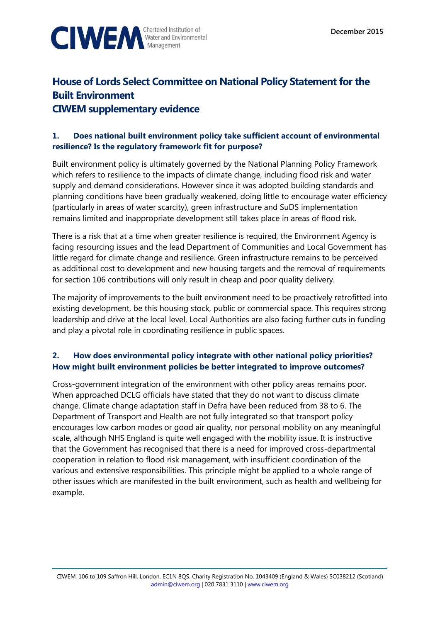



# **House of Lords Select Committee on National Policy Statement for the Built Environment CIWEM supplementary evidence**

## **1. Does national built environment policy take sufficient account of environmental resilience? Is the regulatory framework fit for purpose?**

Built environment policy is ultimately governed by the National Planning Policy Framework which refers to resilience to the impacts of climate change, including flood risk and water supply and demand considerations. However since it was adopted building standards and planning conditions have been gradually weakened, doing little to encourage water efficiency (particularly in areas of water scarcity), green infrastructure and SuDS implementation remains limited and inappropriate development still takes place in areas of flood risk.

There is a risk that at a time when greater resilience is required, the Environment Agency is facing resourcing issues and the lead Department of Communities and Local Government has little regard for climate change and resilience. Green infrastructure remains to be perceived as additional cost to development and new housing targets and the removal of requirements for section 106 contributions will only result in cheap and poor quality delivery.

The majority of improvements to the built environment need to be proactively retrofitted into existing development, be this housing stock, public or commercial space. This requires strong leadership and drive at the local level. Local Authorities are also facing further cuts in funding and play a pivotal role in coordinating resilience in public spaces.

#### **2. How does environmental policy integrate with other national policy priorities? How might built environment policies be better integrated to improve outcomes?**

Cross-government integration of the environment with other policy areas remains poor. When approached DCLG officials have stated that they do not want to discuss climate change. Climate change adaptation staff in Defra have been reduced from 38 to 6. The Department of Transport and Health are not fully integrated so that transport policy encourages low carbon modes or good air quality, nor personal mobility on any meaningful scale, although NHS England is quite well engaged with the mobility issue. It is instructive that the Government has recognised that there is a need for improved cross-departmental cooperation in relation to flood risk management, with insufficient coordination of the various and extensive responsibilities. This principle might be applied to a whole range of other issues which are manifested in the built environment, such as health and wellbeing for example.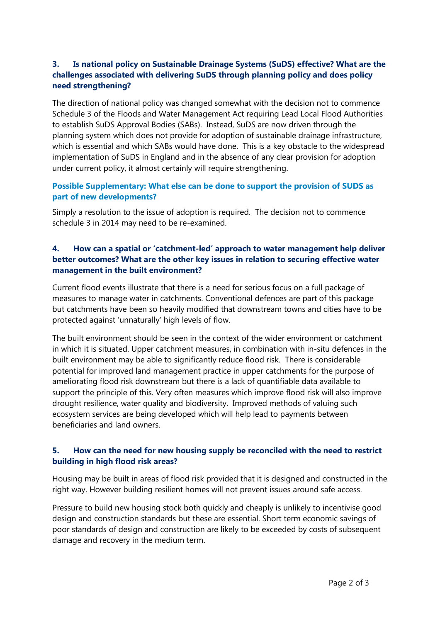## **3. Is national policy on Sustainable Drainage Systems (SuDS) effective? What are the challenges associated with delivering SuDS through planning policy and does policy need strengthening?**

The direction of national policy was changed somewhat with the decision not to commence Schedule 3 of the Floods and Water Management Act requiring Lead Local Flood Authorities to establish SuDS Approval Bodies (SABs). Instead, SuDS are now driven through the planning system which does not provide for adoption of sustainable drainage infrastructure, which is essential and which SABs would have done. This is a key obstacle to the widespread implementation of SuDS in England and in the absence of any clear provision for adoption under current policy, it almost certainly will require strengthening.

#### **Possible Supplementary: What else can be done to support the provision of SUDS as part of new developments?**

Simply a resolution to the issue of adoption is required. The decision not to commence schedule 3 in 2014 may need to be re-examined.

#### **4. How can a spatial or 'catchment-led' approach to water management help deliver better outcomes? What are the other key issues in relation to securing effective water management in the built environment?**

Current flood events illustrate that there is a need for serious focus on a full package of measures to manage water in catchments. Conventional defences are part of this package but catchments have been so heavily modified that downstream towns and cities have to be protected against 'unnaturally' high levels of flow.

The built environment should be seen in the context of the wider environment or catchment in which it is situated. Upper catchment measures, in combination with in-situ defences in the built environment may be able to significantly reduce flood risk. There is considerable potential for improved land management practice in upper catchments for the purpose of ameliorating flood risk downstream but there is a lack of quantifiable data available to support the principle of this. Very often measures which improve flood risk will also improve drought resilience, water quality and biodiversity. Improved methods of valuing such ecosystem services are being developed which will help lead to payments between beneficiaries and land owners.

### **5. How can the need for new housing supply be reconciled with the need to restrict building in high flood risk areas?**

Housing may be built in areas of flood risk provided that it is designed and constructed in the right way. However building resilient homes will not prevent issues around safe access.

Pressure to build new housing stock both quickly and cheaply is unlikely to incentivise good design and construction standards but these are essential. Short term economic savings of poor standards of design and construction are likely to be exceeded by costs of subsequent damage and recovery in the medium term.